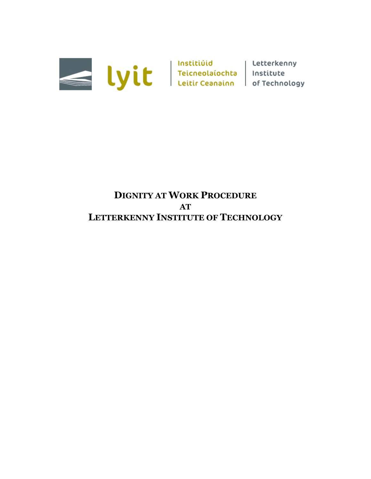

# **DIGNITY AT WORK PROCEDURE AT LETTERKENNY INSTITUTE OF TECHNOLOGY**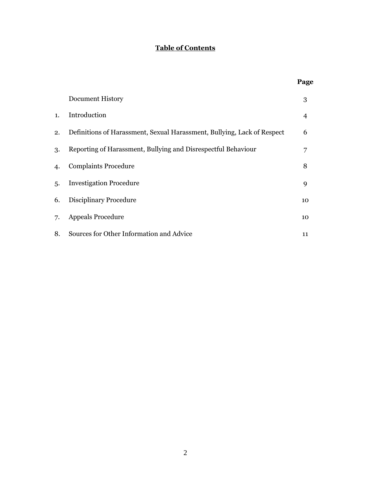## **Table of Contents**

|    |                                                                         | Page           |
|----|-------------------------------------------------------------------------|----------------|
|    | Document History                                                        | 3              |
| 1. | Introduction                                                            | $\overline{4}$ |
| 2. | Definitions of Harassment, Sexual Harassment, Bullying, Lack of Respect | 6              |
| 3. | Reporting of Harassment, Bullying and Disrespectful Behaviour           | 7              |
| 4. | <b>Complaints Procedure</b>                                             | 8              |
| 5. | <b>Investigation Procedure</b>                                          | 9              |
| 6. | Disciplinary Procedure                                                  | 10             |
| 7. | <b>Appeals Procedure</b>                                                | 10             |
| 8. | Sources for Other Information and Advice                                | 11             |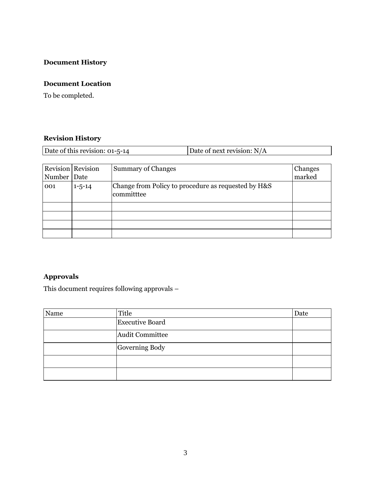## **Document History**

## **Document Location**

To be completed.

## **Revision History**

| Date of this revision: 01-5-14 | Date of next revision: N/A |
|--------------------------------|----------------------------|
|                                |                            |

| Number Date | Revision Revision | <b>Summary of Changes</b>                                         | Changes<br>marked |
|-------------|-------------------|-------------------------------------------------------------------|-------------------|
|             |                   |                                                                   |                   |
| 001         | $1 - 5 - 14$      | Change from Policy to procedure as requested by H&S<br>committtee |                   |
|             |                   |                                                                   |                   |
|             |                   |                                                                   |                   |
|             |                   |                                                                   |                   |
|             |                   |                                                                   |                   |

## **Approvals**

This document requires following approvals –

| Name | Title                  | Date |
|------|------------------------|------|
|      | <b>Executive Board</b> |      |
|      | <b>Audit Committee</b> |      |
|      | Governing Body         |      |
|      |                        |      |
|      |                        |      |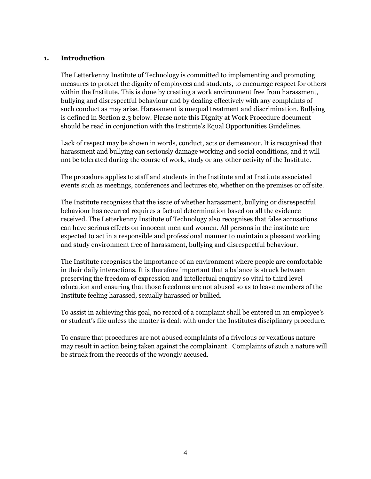#### **1. Introduction**

The Letterkenny Institute of Technology is committed to implementing and promoting measures to protect the dignity of employees and students, to encourage respect for others within the Institute. This is done by creating a work environment free from harassment, bullying and disrespectful behaviour and by dealing effectively with any complaints of such conduct as may arise. Harassment is unequal treatment and discrimination. Bullying is defined in Section 2.3 below. Please note this Dignity at Work Procedure document should be read in conjunction with the Institute's Equal Opportunities Guidelines.

Lack of respect may be shown in words, conduct, acts or demeanour. It is recognised that harassment and bullying can seriously damage working and social conditions, and it will not be tolerated during the course of work, study or any other activity of the Institute.

The procedure applies to staff and students in the Institute and at Institute associated events such as meetings, conferences and lectures etc, whether on the premises or off site.

The Institute recognises that the issue of whether harassment, bullying or disrespectful behaviour has occurred requires a factual determination based on all the evidence received. The Letterkenny Institute of Technology also recognises that false accusations can have serious effects on innocent men and women. All persons in the institute are expected to act in a responsible and professional manner to maintain a pleasant working and study environment free of harassment, bullying and disrespectful behaviour.

The Institute recognises the importance of an environment where people are comfortable in their daily interactions. It is therefore important that a balance is struck between preserving the freedom of expression and intellectual enquiry so vital to third level education and ensuring that those freedoms are not abused so as to leave members of the Institute feeling harassed, sexually harassed or bullied.

To assist in achieving this goal, no record of a complaint shall be entered in an employee's or student's file unless the matter is dealt with under the Institutes disciplinary procedure.

To ensure that procedures are not abused complaints of a frivolous or vexatious nature may result in action being taken against the complainant. Complaints of such a nature will be struck from the records of the wrongly accused.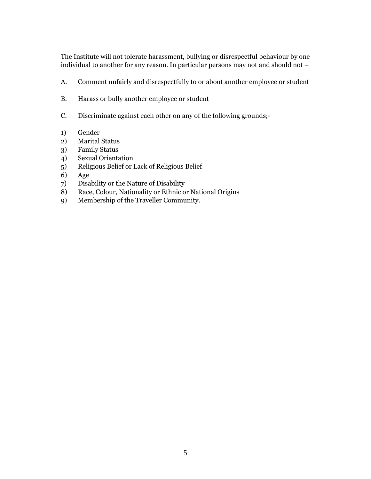The Institute will not tolerate harassment, bullying or disrespectful behaviour by one individual to another for any reason. In particular persons may not and should not –

- A. Comment unfairly and disrespectfully to or about another employee or student
- B. Harass or bully another employee or student
- C. Discriminate against each other on any of the following grounds;-
- 1) Gender
- 2) Marital Status
- 3) Family Status
- 4) Sexual Orientation
- 5) Religious Belief or Lack of Religious Belief
- 6) Age
- 7) Disability or the Nature of Disability
- 8) Race, Colour, Nationality or Ethnic or National Origins
- 9) Membership of the Traveller Community.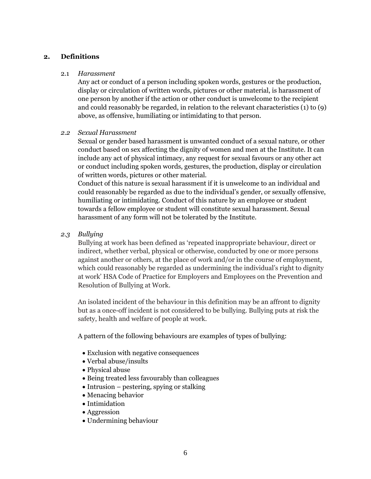#### **2. Definitions**

#### 2.1 *Harassment*

Any act or conduct of a person including spoken words, gestures or the production, display or circulation of written words, pictures or other material, is harassment of one person by another if the action or other conduct is unwelcome to the recipient and could reasonably be regarded, in relation to the relevant characteristics (1) to (9) above, as offensive, humiliating or intimidating to that person.

#### *2.2 Sexual Harassment*

Sexual or gender based harassment is unwanted conduct of a sexual nature, or other conduct based on sex affecting the dignity of women and men at the Institute. It can include any act of physical intimacy, any request for sexual favours or any other act or conduct including spoken words, gestures, the production, display or circulation of written words, pictures or other material.

Conduct of this nature is sexual harassment if it is unwelcome to an individual and could reasonably be regarded as due to the individual's gender, or sexually offensive, humiliating or intimidating. Conduct of this nature by an employee or student towards a fellow employee or student will constitute sexual harassment. Sexual harassment of any form will not be tolerated by the Institute.

#### *2.3 Bullying*

Bullying at work has been defined as 'repeated inappropriate behaviour, direct or indirect, whether verbal, physical or otherwise, conducted by one or more persons against another or others, at the place of work and/or in the course of employment, which could reasonably be regarded as undermining the individual's right to dignity at work' HSA Code of Practice for Employers and Employees on the Prevention and Resolution of Bullying at Work.

An isolated incident of the behaviour in this definition may be an affront to dignity but as a once-off incident is not considered to be bullying. Bullying puts at risk the safety, health and welfare of people at work.

A pattern of the following behaviours are examples of types of bullying:

- Exclusion with negative consequences
- Verbal abuse/insults
- Physical abuse
- Being treated less favourably than colleagues
- Intrusion pestering, spying or stalking
- Menacing behavior
- Intimidation
- Aggression
- Undermining behaviour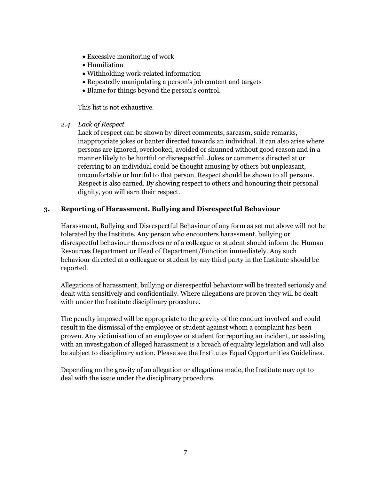- Excessive monitoring of work
- Humiliation
- Withholding work-related information
- Repeatedly manipulating a person's job content and targets
- Blame for things beyond the person's control.

This list is not exhaustive.

*2.4 Lack of Respect*

Lack of respect can be shown by direct comments, sarcasm, snide remarks, inappropriate jokes or banter directed towards an individual. It can also arise where persons are ignored, overlooked, avoided or shunned without good reason and in a manner likely to be hurtful or disrespectful. Jokes or comments directed at or referring to an individual could be thought amusing by others but unpleasant, uncomfortable or hurtful to that person. Respect should be shown to all persons. Respect is also earned. By showing respect to others and honouring their personal dignity, you will earn their respect.

## **3. Reporting of Harassment, Bullying and Disrespectful Behaviour**

Harassment, Bullying and Disrespectful Behaviour of any form as set out above will not be tolerated by the Institute. Any person who encounters harassment, bullying or disrespectful behaviour themselves or of a colleague or student should inform the Human Resources Department or Head of Department/Function immediately. Any such behaviour directed at a colleague or student by any third party in the Institute should be reported.

Allegations of harassment, bullying or disrespectful behaviour will be treated seriously and dealt with sensitively and confidentially. Where allegations are proven they will be dealt with under the Institute disciplinary procedure.

The penalty imposed will be appropriate to the gravity of the conduct involved and could result in the dismissal of the employee or student against whom a complaint has been proven. Any victimisation of an employee or student for reporting an incident, or assisting with an investigation of alleged harassment is a breach of equality legislation and will also be subject to disciplinary action. Please see the Institutes Equal Opportunities Guidelines.

Depending on the gravity of an allegation or allegations made, the Institute may opt to deal with the issue under the disciplinary procedure.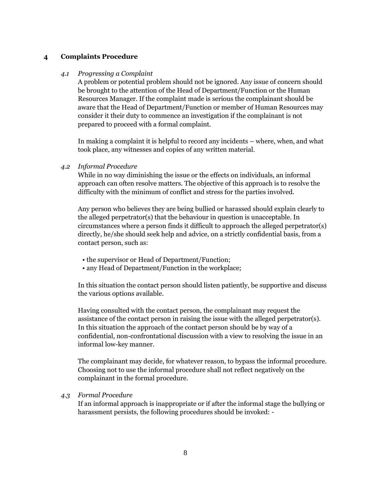#### **4 Complaints Procedure**

#### *4.1 Progressing a Complaint*

A problem or potential problem should not be ignored. Any issue of concern should be brought to the attention of the Head of Department/Function or the Human Resources Manager. If the complaint made is serious the complainant should be aware that the Head of Department/Function or member of Human Resources may consider it their duty to commence an investigation if the complainant is not prepared to proceed with a formal complaint.

In making a complaint it is helpful to record any incidents – where, when, and what took place, any witnesses and copies of any written material.

#### *4.2 Informal Procedure*

While in no way diminishing the issue or the effects on individuals, an informal approach can often resolve matters. The objective of this approach is to resolve the difficulty with the minimum of conflict and stress for the parties involved.

Any person who believes they are being bullied or harassed should explain clearly to the alleged perpetrator(s) that the behaviour in question is unacceptable. In circumstances where a person finds it difficult to approach the alleged perpetrator(s) directly, he/she should seek help and advice, on a strictly confidential basis, from a contact person, such as:

- the supervisor or Head of Department/Function;
- any Head of Department/Function in the workplace;

In this situation the contact person should listen patiently, be supportive and discuss the various options available.

Having consulted with the contact person, the complainant may request the assistance of the contact person in raising the issue with the alleged perpetrator(s). In this situation the approach of the contact person should be by way of a confidential, non-confrontational discussion with a view to resolving the issue in an informal low-key manner.

The complainant may decide, for whatever reason, to bypass the informal procedure. Choosing not to use the informal procedure shall not reflect negatively on the complainant in the formal procedure.

#### *4.3 Formal Procedure*

If an informal approach is inappropriate or if after the informal stage the bullying or harassment persists, the following procedures should be invoked: -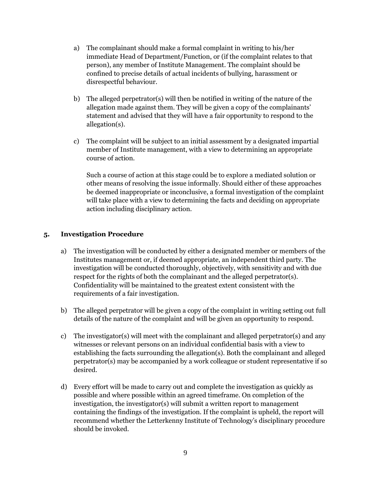- a) The complainant should make a formal complaint in writing to his/her immediate Head of Department/Function, or (if the complaint relates to that person), any member of Institute Management. The complaint should be confined to precise details of actual incidents of bullying, harassment or disrespectful behaviour.
- b) The alleged perpetrator(s) will then be notified in writing of the nature of the allegation made against them. They will be given a copy of the complainants' statement and advised that they will have a fair opportunity to respond to the allegation(s).
- c) The complaint will be subject to an initial assessment by a designated impartial member of Institute management, with a view to determining an appropriate course of action.

Such a course of action at this stage could be to explore a mediated solution or other means of resolving the issue informally. Should either of these approaches be deemed inappropriate or inconclusive, a formal investigation of the complaint will take place with a view to determining the facts and deciding on appropriate action including disciplinary action.

## **5. Investigation Procedure**

- a) The investigation will be conducted by either a designated member or members of the Institutes management or, if deemed appropriate, an independent third party. The investigation will be conducted thoroughly, objectively, with sensitivity and with due respect for the rights of both the complainant and the alleged perpetrator(s). Confidentiality will be maintained to the greatest extent consistent with the requirements of a fair investigation.
- b) The alleged perpetrator will be given a copy of the complaint in writing setting out full details of the nature of the complaint and will be given an opportunity to respond.
- c) The investigator(s) will meet with the complainant and alleged perpetrator(s) and any witnesses or relevant persons on an individual confidential basis with a view to establishing the facts surrounding the allegation(s). Both the complainant and alleged perpetrator(s) may be accompanied by a work colleague or student representative if so desired.
- d) Every effort will be made to carry out and complete the investigation as quickly as possible and where possible within an agreed timeframe. On completion of the investigation, the investigator(s) will submit a written report to management containing the findings of the investigation. If the complaint is upheld, the report will recommend whether the Letterkenny Institute of Technology's disciplinary procedure should be invoked.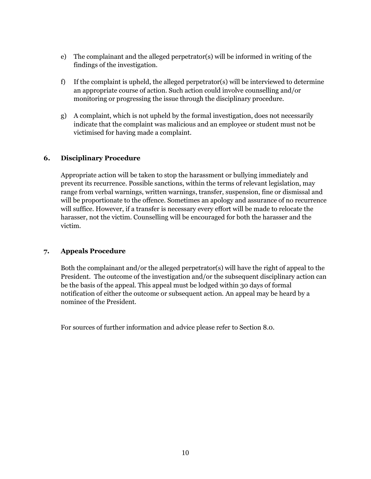- e) The complainant and the alleged perpetrator(s) will be informed in writing of the findings of the investigation.
- f) If the complaint is upheld, the alleged perpetrator(s) will be interviewed to determine an appropriate course of action. Such action could involve counselling and/or monitoring or progressing the issue through the disciplinary procedure.
- g) A complaint, which is not upheld by the formal investigation, does not necessarily indicate that the complaint was malicious and an employee or student must not be victimised for having made a complaint.

### **6. Disciplinary Procedure**

Appropriate action will be taken to stop the harassment or bullying immediately and prevent its recurrence. Possible sanctions, within the terms of relevant legislation, may range from verbal warnings, written warnings, transfer, suspension, fine or dismissal and will be proportionate to the offence. Sometimes an apology and assurance of no recurrence will suffice. However, if a transfer is necessary every effort will be made to relocate the harasser, not the victim. Counselling will be encouraged for both the harasser and the victim.

## **7. Appeals Procedure**

Both the complainant and/or the alleged perpetrator(s) will have the right of appeal to the President. The outcome of the investigation and/or the subsequent disciplinary action can be the basis of the appeal. This appeal must be lodged within 30 days of formal notification of either the outcome or subsequent action. An appeal may be heard by a nominee of the President.

For sources of further information and advice please refer to Section 8.0.